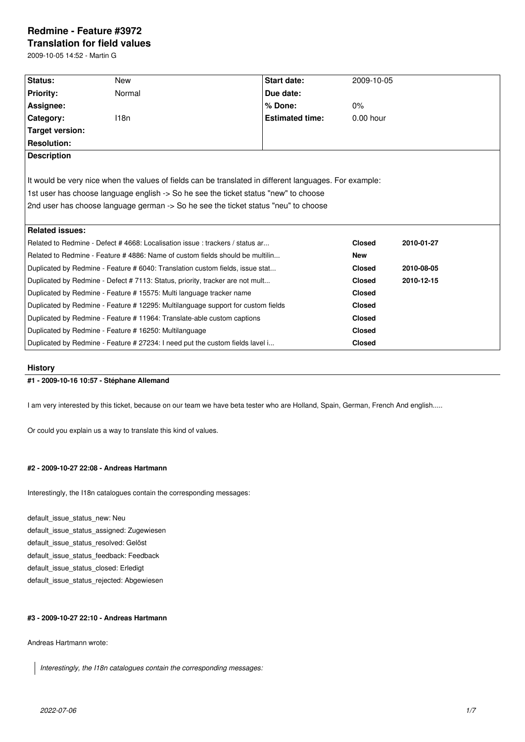# **Redmine - Feature #3972**

**Translation for field values**

2009-10-05 14:52 - Martin G

| Status:                                                                                                | New                                                                           | <b>Start date:</b>     | 2009-10-05    |            |  |  |  |
|--------------------------------------------------------------------------------------------------------|-------------------------------------------------------------------------------|------------------------|---------------|------------|--|--|--|
| <b>Priority:</b>                                                                                       | Normal                                                                        | Due date:              |               |            |  |  |  |
| Assignee:                                                                                              |                                                                               | % Done:                | $0\%$         |            |  |  |  |
| Category:                                                                                              | 118n                                                                          | <b>Estimated time:</b> | $0.00$ hour   |            |  |  |  |
| Target version:                                                                                        |                                                                               |                        |               |            |  |  |  |
| <b>Resolution:</b>                                                                                     |                                                                               |                        |               |            |  |  |  |
| <b>Description</b>                                                                                     |                                                                               |                        |               |            |  |  |  |
|                                                                                                        |                                                                               |                        |               |            |  |  |  |
| It would be very nice when the values of fields can be translated in different languages. For example: |                                                                               |                        |               |            |  |  |  |
| 1st user has choose language english -> So he see the ticket status "new" to choose                    |                                                                               |                        |               |            |  |  |  |
| 2nd user has choose language german -> So he see the ticket status "neu" to choose                     |                                                                               |                        |               |            |  |  |  |
|                                                                                                        |                                                                               |                        |               |            |  |  |  |
| <b>Related issues:</b>                                                                                 |                                                                               |                        |               |            |  |  |  |
| Related to Redmine - Defect # 4668: Localisation issue: trackers / status ar                           |                                                                               |                        | <b>Closed</b> | 2010-01-27 |  |  |  |
| Related to Redmine - Feature # 4886: Name of custom fields should be multilin                          |                                                                               |                        |               |            |  |  |  |
| Duplicated by Redmine - Feature # 6040: Translation custom fields, issue stat                          |                                                                               |                        |               | 2010-08-05 |  |  |  |
| Duplicated by Redmine - Defect # 7113: Status, priority, tracker are not mult                          |                                                                               |                        | <b>Closed</b> | 2010-12-15 |  |  |  |
| Duplicated by Redmine - Feature # 15575: Multi language tracker name                                   |                                                                               |                        | <b>Closed</b> |            |  |  |  |
| Duplicated by Redmine - Feature # 12295: Multilanguage support for custom fields                       |                                                                               |                        | <b>Closed</b> |            |  |  |  |
| Duplicated by Redmine - Feature # 11964: Translate-able custom captions                                |                                                                               |                        |               |            |  |  |  |
|                                                                                                        | Duplicated by Redmine - Feature # 16250: Multilanguage                        | <b>Closed</b>          |               |            |  |  |  |
|                                                                                                        | Duplicated by Redmine - Feature # 27234: I need put the custom fields lavel i | <b>Closed</b>          |               |            |  |  |  |

### **History**

# **#1 - 2009-10-16 10:57 - Stéphane Allemand**

I am very interested by this ticket, because on our team we have beta tester who are Holland, Spain, German, French And english.....

Or could you explain us a way to translate this kind of values.

# **#2 - 2009-10-27 22:08 - Andreas Hartmann**

Interestingly, the I18n catalogues contain the corresponding messages:

default\_issue\_status\_new: Neu default\_issue\_status\_assigned: Zugewiesen default\_issue\_status\_resolved: Gelöst default\_issue\_status\_feedback: Feedback default\_issue\_status\_closed: Erledigt default\_issue\_status\_rejected: Abgewiesen

# **#3 - 2009-10-27 22:10 - Andreas Hartmann**

Andreas Hartmann wrote:

*Interestingly, the I18n catalogues contain the corresponding messages:*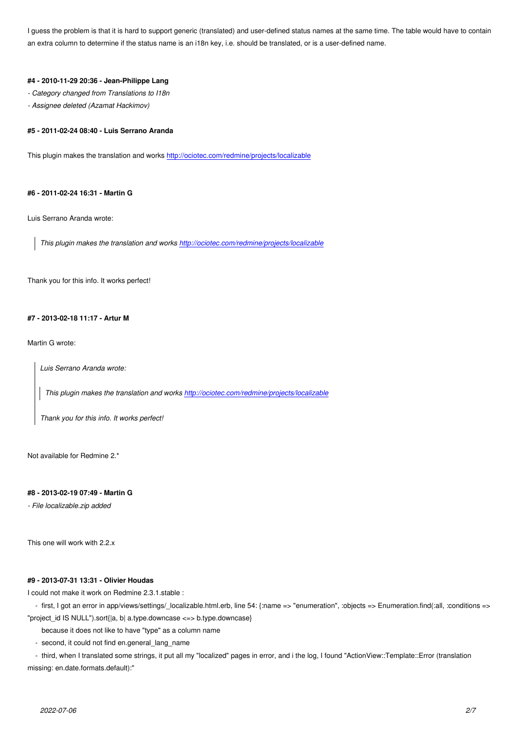an extra column to determine if the status name is an i18n key, i.e. should be translated, or is a user-defined name.

#### **#4 - 2010-11-29 20:36 - Jean-Philippe Lang**

*- Category changed from Translations to I18n*

*- Assignee deleted (Azamat Hackimov)*

# **#5 - 2011-02-24 08:40 - Luis Serrano Aranda**

This plugin makes the translation and works http://ociotec.com/redmine/projects/localizable

### **#6 - 2011-02-24 16:31 - Martin G**

Luis Serrano Aranda wrote:

*This plugin makes the translation and works http://ociotec.com/redmine/projects/localizable*

Thank you for this info. It works perfect!

#### **#7 - 2013-02-18 11:17 - Artur M**

Martin G wrote:

*Luis Serrano Aranda wrote:*

*This plugin makes the translation and works http://ociotec.com/redmine/projects/localizable*

*Thank you for this info. It works perfect!*

Not available for Redmine 2.\*

### **#8 - 2013-02-19 07:49 - Martin G**

*- File localizable.zip added*

This one will work with 2.2.x

### **#9 - 2013-07-31 13:31 - Olivier Houdas**

I could not make it work on Redmine 2.3.1.stable :

- first, I got an error in app/views/settings/\_localizable.html.erb, line 54: {:name => "enumeration", :objects => Enumeration.find(:all, :conditions => "project\_id IS NULL").sort{|a, b| a.type.downcase <=> b.type.downcase}

because it does not like to have "type" as a column name

- second, it could not find en.general\_lang\_name

 - third, when I translated some strings, it put all my "localized" pages in error, and i the log, I found "ActionView::Template::Error (translation missing: en.date.formats.default):"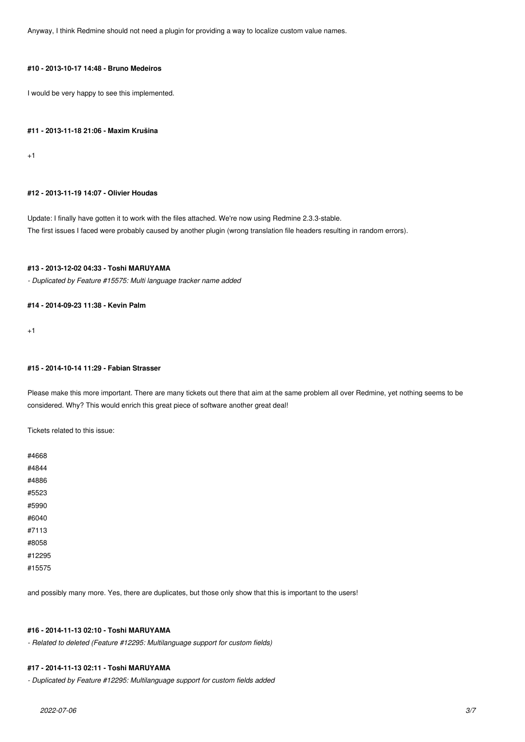Anyway, I think Redmine should not need a plugin for providing a way to localize custom value names.

# **#10 - 2013-10-17 14:48 - Bruno Medeiros**

I would be very happy to see this implemented.

### **#11 - 2013-11-18 21:06 - Maxim Krušina**

+1

#### **#12 - 2013-11-19 14:07 - Olivier Houdas**

Update: I finally have gotten it to work with the files attached. We're now using Redmine 2.3.3-stable. The first issues I faced were probably caused by another plugin (wrong translation file headers resulting in random errors).

# **#13 - 2013-12-02 04:33 - Toshi MARUYAMA**

*- Duplicated by Feature #15575: Multi language tracker name added*

# **#14 - 2014-09-23 11:38 - Kevin Palm**

 $+1$ 

### **#15 - 2014-10-14 11:29 - Fabian Strasser**

Please make this more important. There are many tickets out there that aim at the same problem all over Redmine, yet nothing seems to be considered. Why? This would enrich this great piece of software another great deal!

Tickets related to this issue:

| #4668  |  |  |  |
|--------|--|--|--|
| #4844  |  |  |  |
| #4886  |  |  |  |
| #5523  |  |  |  |
| #5990  |  |  |  |
| #6040  |  |  |  |
| #7113  |  |  |  |
| #8058  |  |  |  |
| #12295 |  |  |  |
| #15575 |  |  |  |
|        |  |  |  |

and possibly many more. Yes, there are duplicates, but those only show that this is important to the users!

# **#16 - 2014-11-13 02:10 - Toshi MARUYAMA**

*- Related to deleted (Feature #12295: Multilanguage support for custom fields)*

### **#17 - 2014-11-13 02:11 - Toshi MARUYAMA**

*- Duplicated by Feature #12295: Multilanguage support for custom fields added*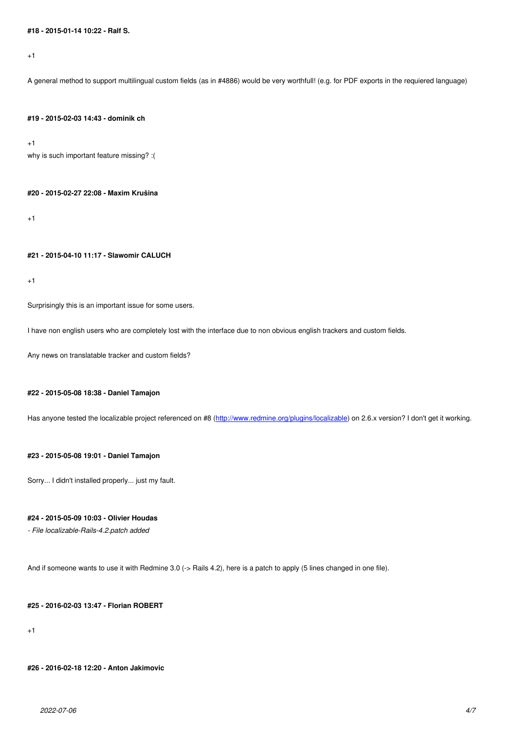A general method to support multilingual custom fields (as in #4886) would be very worthfull! (e.g. for PDF exports in the requiered language)

### **#19 - 2015-02-03 14:43 - dominik ch**

+1

why is such important feature missing? :(

### **#20 - 2015-02-27 22:08 - Maxim Krušina**

+1

#### **#21 - 2015-04-10 11:17 - Slawomir CALUCH**

+1

Surprisingly this is an important issue for some users.

I have non english users who are completely lost with the interface due to non obvious english trackers and custom fields.

Any news on translatable tracker and custom fields?

### **#22 - 2015-05-08 18:38 - Daniel Tamajon**

Has anyone tested the localizable project referenced on #8 (http://www.redmine.org/plugins/localizable) on 2.6.x version? I don't get it working.

### **#23 - 2015-05-08 19:01 - Daniel Tamajon**

Sorry... I didn't installed properly... just my fault.

#### **#24 - 2015-05-09 10:03 - Olivier Houdas**

*- File localizable-Rails-4.2.patch added*

And if someone wants to use it with Redmine 3.0 (-> Rails 4.2), here is a patch to apply (5 lines changed in one file).

### **#25 - 2016-02-03 13:47 - Florian ROBERT**

+1

**#26 - 2016-02-18 12:20 - Anton Jakimovic**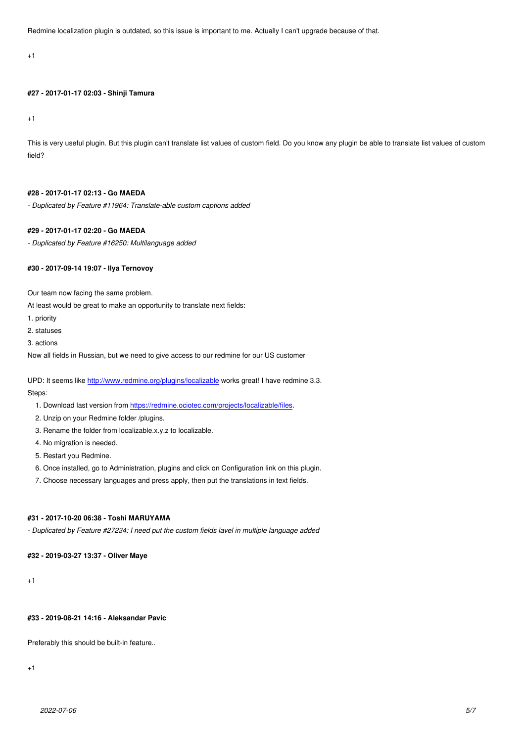# **#27 - 2017-01-17 02:03 - Shinji Tamura**

+1

This is very useful plugin. But this plugin can't translate list values of custom field. Do you know any plugin be able to translate list values of custom field?

### **#28 - 2017-01-17 02:13 - Go MAEDA**

*- Duplicated by Feature #11964: Translate-able custom captions added*

# **#29 - 2017-01-17 02:20 - Go MAEDA**

*- Duplicated by Feature #16250: Multilanguage added*

# **#30 - 2017-09-14 19:07 - Ilya Ternovoy**

Our team now facing the same problem.

At least would be great to make an opportunity to translate next fields:

- 1. priority
- 2. statuses
- 3. actions

Now all fields in Russian, but we need to give access to our redmine for our US customer

UPD: It seems like http://www.redmine.org/plugins/localizable works great! I have redmine 3.3. Steps:

- 1. Download last version from https://redmine.ociotec.com/projects/localizable/files.
- 2. Unzip on your [Redmine folder /plugins.](http://www.redmine.org/plugins/localizable)
- 3. Rename the folder from localizable.x.y.z to localizable.
- 4. No migration is needed.
- 5. Restart you Redmine.
- 6. Once installed, go to Administration, plugins and click on Configuration link on this plugin.
- 7. Choose necessary languages and press apply, then put the translations in text fields.

### **#31 - 2017-10-20 06:38 - Toshi MARUYAMA**

*- Duplicated by Feature #27234: I need put the custom fields lavel in multiple language added*

# **#32 - 2019-03-27 13:37 - Oliver Maye**

 $+1$ 

# **#33 - 2019-08-21 14:16 - Aleksandar Pavic**

Preferably this should be built-in feature..

+1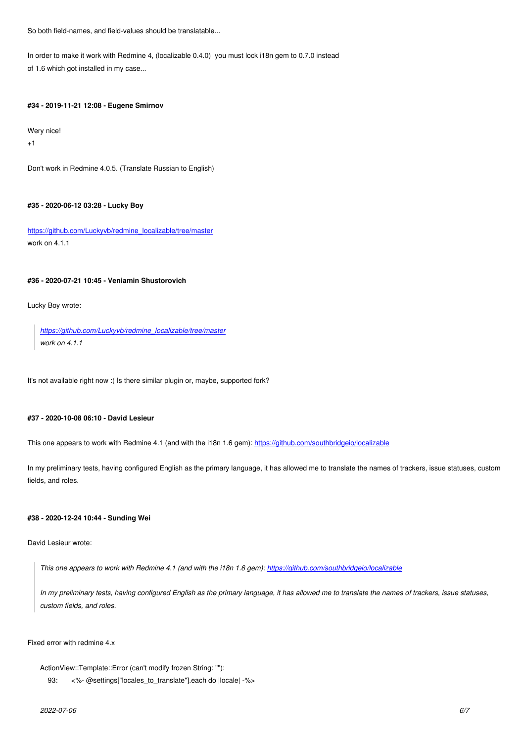In order to make it work with Redmine 4, (localizable 0.4.0) you must lock i18n gem to 0.7.0 instead of 1.6 which got installed in my case...

### **#34 - 2019-11-21 12:08 - Eugene Smirnov**

Wery nice!

+1

Don't work in Redmine 4.0.5. (Translate Russian to English)

### **#35 - 2020-06-12 03:28 - Lucky Boy**

https://github.com/Luckyvb/redmine\_localizable/tree/master work on 4.1.1

# **[#36 - 2020-07-21 10:45 - Veniamin Shustorovich](https://github.com/Luckyvb/redmine_localizable/tree/master)**

Lucky Boy wrote:

*https://github.com/Luckyvb/redmine\_localizable/tree/master work on 4.1.1*

It's [not available right now :\( Is there similar plugin or, maybe, su](https://github.com/Luckyvb/redmine_localizable/tree/master)pported fork?

### **#37 - 2020-10-08 06:10 - David Lesieur**

This one appears to work with Redmine 4.1 (and with the i18n 1.6 gem): https://github.com/southbridgeio/localizable

In my preliminary tests, having configured English as the primary language, it has allowed me to translate the names of trackers, issue statuses, custom fields, and roles.

# **#38 - 2020-12-24 10:44 - Sunding Wei**

David Lesieur wrote:

*This one appears to work with Redmine 4.1 (and with the i18n 1.6 gem): https://github.com/southbridgeio/localizable*

*In my preliminary tests, having configured English as the primary language, it has allowed me to translate the names of trackers, issue statuses, custom fields, and roles.*

Fixed error with redmine 4.x

ActionView::Template::Error (can't modify frozen String: ""):

93: <%- @settings["locales\_to\_translate"].each do |locale| -%>